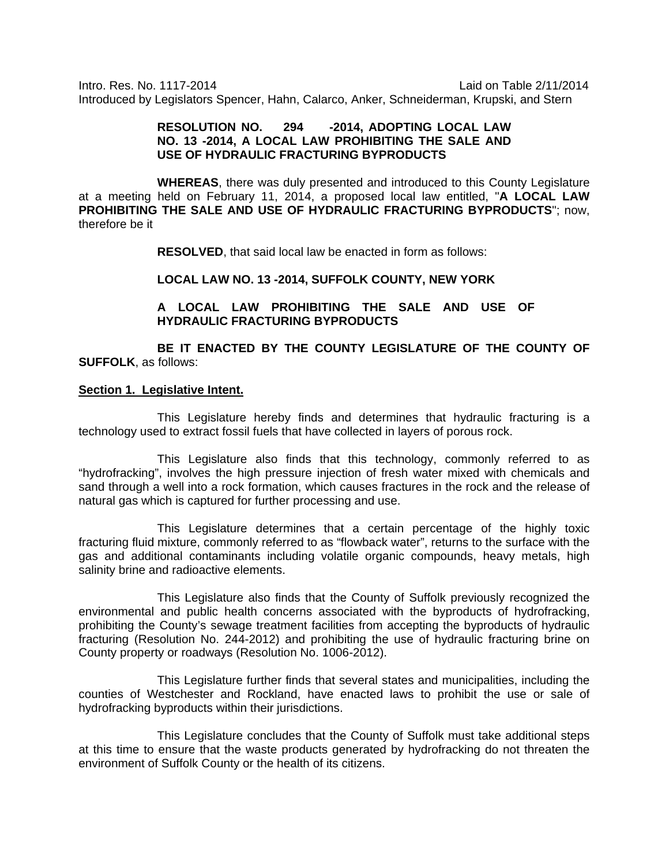Intro. Res. No. 1117-2014 Laid on Table 2/11/2014 Introduced by Legislators Spencer, Hahn, Calarco, Anker, Schneiderman, Krupski, and Stern

## **RESOLUTION NO. 294 -2014, ADOPTING LOCAL LAW NO. 13 -2014, A LOCAL LAW PROHIBITING THE SALE AND USE OF HYDRAULIC FRACTURING BYPRODUCTS**

**WHEREAS**, there was duly presented and introduced to this County Legislature at a meeting held on February 11, 2014, a proposed local law entitled, "**A LOCAL LAW PROHIBITING THE SALE AND USE OF HYDRAULIC FRACTURING BYPRODUCTS**"; now, therefore be it

**RESOLVED**, that said local law be enacted in form as follows:

#### **LOCAL LAW NO. 13 -2014, SUFFOLK COUNTY, NEW YORK**

**A LOCAL LAW PROHIBITING THE SALE AND USE OF HYDRAULIC FRACTURING BYPRODUCTS**

**BE IT ENACTED BY THE COUNTY LEGISLATURE OF THE COUNTY OF SUFFOLK**, as follows:

#### **Section 1. Legislative Intent.**

This Legislature hereby finds and determines that hydraulic fracturing is a technology used to extract fossil fuels that have collected in layers of porous rock.

This Legislature also finds that this technology, commonly referred to as "hydrofracking", involves the high pressure injection of fresh water mixed with chemicals and sand through a well into a rock formation, which causes fractures in the rock and the release of natural gas which is captured for further processing and use.

This Legislature determines that a certain percentage of the highly toxic fracturing fluid mixture, commonly referred to as "flowback water", returns to the surface with the gas and additional contaminants including volatile organic compounds, heavy metals, high salinity brine and radioactive elements.

This Legislature also finds that the County of Suffolk previously recognized the environmental and public health concerns associated with the byproducts of hydrofracking, prohibiting the County's sewage treatment facilities from accepting the byproducts of hydraulic fracturing (Resolution No. 244-2012) and prohibiting the use of hydraulic fracturing brine on County property or roadways (Resolution No. 1006-2012).

This Legislature further finds that several states and municipalities, including the counties of Westchester and Rockland, have enacted laws to prohibit the use or sale of hydrofracking byproducts within their jurisdictions.

This Legislature concludes that the County of Suffolk must take additional steps at this time to ensure that the waste products generated by hydrofracking do not threaten the environment of Suffolk County or the health of its citizens.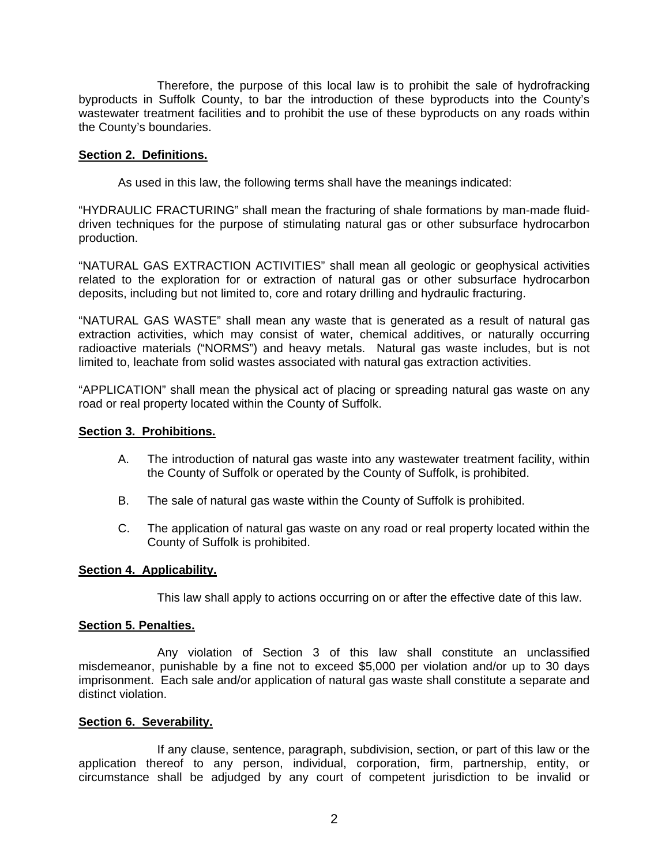Therefore, the purpose of this local law is to prohibit the sale of hydrofracking byproducts in Suffolk County, to bar the introduction of these byproducts into the County's wastewater treatment facilities and to prohibit the use of these byproducts on any roads within the County's boundaries.

## **Section 2. Definitions.**

As used in this law, the following terms shall have the meanings indicated:

"HYDRAULIC FRACTURING" shall mean the fracturing of shale formations by man-made fluiddriven techniques for the purpose of stimulating natural gas or other subsurface hydrocarbon production.

"NATURAL GAS EXTRACTION ACTIVITIES" shall mean all geologic or geophysical activities related to the exploration for or extraction of natural gas or other subsurface hydrocarbon deposits, including but not limited to, core and rotary drilling and hydraulic fracturing.

"NATURAL GAS WASTE" shall mean any waste that is generated as a result of natural gas extraction activities, which may consist of water, chemical additives, or naturally occurring radioactive materials ("NORMS") and heavy metals. Natural gas waste includes, but is not limited to, leachate from solid wastes associated with natural gas extraction activities.

"APPLICATION" shall mean the physical act of placing or spreading natural gas waste on any road or real property located within the County of Suffolk.

#### **Section 3. Prohibitions.**

- A. The introduction of natural gas waste into any wastewater treatment facility, within the County of Suffolk or operated by the County of Suffolk, is prohibited.
- B. The sale of natural gas waste within the County of Suffolk is prohibited.
- C. The application of natural gas waste on any road or real property located within the County of Suffolk is prohibited.

#### **Section 4. Applicability.**

This law shall apply to actions occurring on or after the effective date of this law.

#### **Section 5. Penalties.**

Any violation of Section 3 of this law shall constitute an unclassified misdemeanor, punishable by a fine not to exceed \$5,000 per violation and/or up to 30 days imprisonment. Each sale and/or application of natural gas waste shall constitute a separate and distinct violation.

#### **Section 6. Severability.**

If any clause, sentence, paragraph, subdivision, section, or part of this law or the application thereof to any person, individual, corporation, firm, partnership, entity, or circumstance shall be adjudged by any court of competent jurisdiction to be invalid or